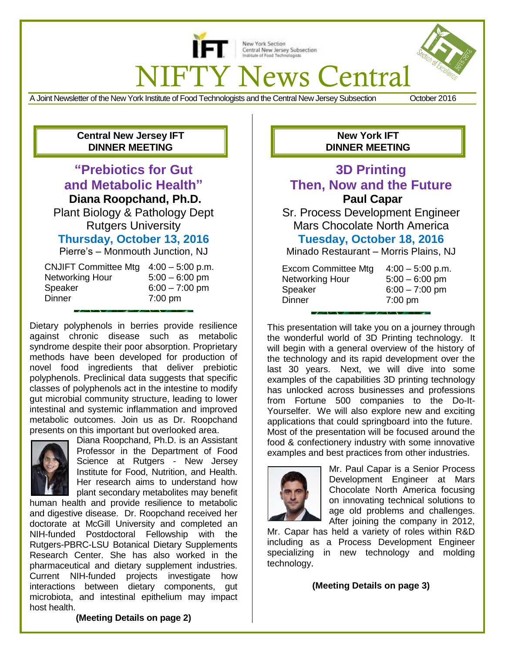

New York Section Central New Jersey Subsection Institute of Food Techn

**FTY News Central** 

A Joint Newsletter of the New York Institute of Food Technologists and the Central New Jersey Subsection October 2016

## **Central New Jersey IFT DINNER MEETING**

# **"Prebiotics for Gut and Metabolic Health"**

**Diana Roopchand, Ph.D.**

Plant Biology & Pathology Dept Rutgers University **Thursday, October 13, 2016**

Pierre's – Monmouth Junction, NJ

| CNJIFT Committee Mtg 4:00 - 5:00 p.m. |                   |
|---------------------------------------|-------------------|
| Networking Hour                       | $5:00 - 6:00$ pm  |
| Speaker                               | $6:00 - 7:00$ pm  |
| Dinner                                | $7:00 \text{ pm}$ |
|                                       |                   |

Dietary polyphenols in berries provide resilience against chronic disease such as metabolic syndrome despite their poor absorption. Proprietary methods have been developed for production of novel food ingredients that deliver prebiotic polyphenols. Preclinical data suggests that specific classes of polyphenols act in the intestine to modify gut microbial community structure, leading to lower intestinal and systemic inflammation and improved metabolic outcomes. Join us as Dr. Roopchand presents on this important but overlooked area.



 $\overline{a}$ 

Diana Roopchand, Ph.D. is an Assistant Professor in the Department of Food Science at Rutgers - New Jersey Institute for Food, Nutrition, and Health. Her research aims to understand how plant secondary metabolites may benefit

human health and provide resilience to metabolic and digestive disease. Dr. Roopchand received her doctorate at McGill University and completed an NIH-funded Postdoctoral Fellowship with the Rutgers-PBRC-LSU Botanical Dietary Supplements Research Center. She has also worked in the pharmaceutical and dietary supplement industries. Current NIH-funded projects investigate how interactions between dietary components, gut microbiota, and intestinal epithelium may impact host health.

## **New York IFT DINNER MEETING**

# **3D Printing Then, Now and the Future Paul Capar**

Sr. Process Development Engineer Mars Chocolate North America **Tuesday, October 18, 2016**

Minado Restaurant – Morris Plains, NJ

| <b>Excom Committee Mtg</b><br>Networking Hour | $4:00 - 5:00$ p.m.<br>$5:00 - 6:00$ pm |
|-----------------------------------------------|----------------------------------------|
| Speaker                                       | $6:00 - 7:00$ pm                       |
| Dinner                                        | $7:00 \text{ pm}$                      |

This presentation will take you on a journey through the wonderful world of 3D Printing technology. It will begin with a general overview of the history of the technology and its rapid development over the last 30 years. Next, we will dive into some examples of the capabilities 3D printing technology has unlocked across businesses and professions from Fortune 500 companies to the Do-It-Yourselfer. We will also explore new and exciting applications that could springboard into the future. Most of the presentation will be focused around the food & confectionery industry with some innovative examples and best practices from other industries.



Mr. Paul Capar is a Senior Process Development Engineer at Mars Chocolate North America focusing on innovating technical solutions to age old problems and challenges. After joining the company in 2012,

Mr. Capar has held a variety of roles within R&D including as a Process Development Engineer specializing in new technology and molding technology.

**(Meeting Details on page 3)**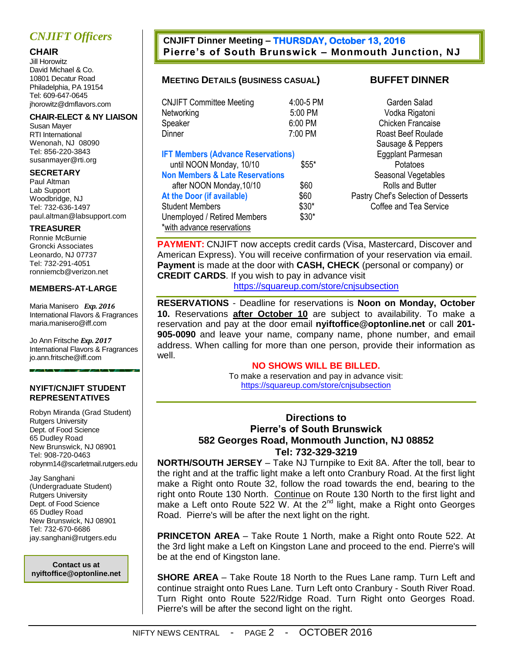# *CNJIFT Officers*

## **CHAIR**

Jill Horowitz David Michael & Co. 10801 Decatur Road Philadelphia, PA 19154 Tel: 609-647-0645 jhorowitz@dmflavors.com

#### **CHAIR-ELECT & NY LIAISON**

Susan Mayer RTI International Wenonah, NJ 08090 Tel: 856-220-3843 susanmayer@rti.org

#### **SECRETARY**

Paul Altman Lab Support Woodbridge, NJ Tel: 732-636-1497 [paul.altman@labsupport.](mailto:kristina.savas@labsupport)com

#### **TREASURER**

Ronnie McBurnie Groncki Associates Leonardo, NJ 07737 Tel: 732-291-4051 ronniemcb@verizon.net

#### **MEMBERS-AT-LARGE**

Maria Manisero *Exp. 2016* International Flavors & Fragrances [maria.manisero@iff.com](mailto:maria.manisero@iff.com)

Jo Ann Fritsche *Exp. 2017* International Flavors & Fragrances [jo.ann.fritsche@iff.c](mailto:jo.ann.fritsche@iff)om

#### **NYIFT/CNJIFT STUDENT REPRESENTATIVES**

Robyn Miranda (Grad Student) Rutgers University Dept. of Food Science 65 Dudley Road New Brunswick, NJ 08901 Tel: 908-720-0463 robynm14@scarletmail.rutgers.edu

Jay Sanghani (Undergraduate Student) Rutgers University Dept. of Food Science 65 Dudley Road New Brunswick, NJ 08901 Tel: 732-670-6686 [jay.sanghani@rutgers.edu](mailto:nzj1@scarletmail.rutgers.edu)

**Contact us at nyiftoffice@optonline.net**

## **CNJIFT Dinner Meeting – THURSDAY, October 13, 2016 Pierre's of South Brunswick – Monmouth Junction, NJ**

## **MEETING DETAILS (BUSINESS CASUAL) BUFFET DINNER**

| <b>CNJIFT Committee Meeting</b>                                                                                                                                                                                                                                       | 4:00-5 PM                                 | Garden Sal                                                                                                                    |
|-----------------------------------------------------------------------------------------------------------------------------------------------------------------------------------------------------------------------------------------------------------------------|-------------------------------------------|-------------------------------------------------------------------------------------------------------------------------------|
| Networking                                                                                                                                                                                                                                                            | 5:00 PM                                   | Vodka Rigat                                                                                                                   |
| Speaker                                                                                                                                                                                                                                                               | 6:00 PM                                   | Chicken Fran                                                                                                                  |
| Dinner                                                                                                                                                                                                                                                                | 7:00 PM                                   | Roast Beef Ro                                                                                                                 |
| <b>IFT Members (Advance Reservations)</b><br>until NOON Monday, 10/10<br><b>Non Members &amp; Late Reservations</b><br>after NOON Monday, 10/10<br>At the Door (if available)<br><b>Student Members</b><br>Unemployed / Retired Members<br>*with advance reservations | $$55*$<br>\$60<br>\$60<br>$$30*$<br>\$30* | Sausage & Pe<br><b>Eggplant Parm</b><br>Potatoes<br>Seasonal Vege<br>Rolls and Bu<br>Pastry Chef's Selectio<br>Coffee and Tea |

PM Garden Salad Metambra 2008 Vodka Rigatoni Chicken Francaise Roast Beef Roulade Sausage & Peppers **Eggplant Parmesan Seasonal Vegetables** Rolls and Butter **Pastry Chef's Selection of Desserts** Coffee and Tea Service

**PAYMENT:** CNJIFT now accepts credit cards (Visa, Mastercard, Discover and American Express). You will receive confirmation of your reservation via email. **Payment** is made at the door with **CASH, CHECK** (personal or company) or **CREDIT CARDS**. If you wish to pay in advance visit

<https://squareup.com/store/cnjsubsection>

**RESERVATIONS** - Deadline for reservations is **Noon on Monday, October 10.** Reservations **after October 10** are subject to availability. To make a reservation and pay at the door email **nyiftoffice@optonline.net** or call **201- 905-0090** and leave your name, company name, phone number, and email address. When calling for more than one person, provide their information as well.

#### **NO SHOWS WILL BE BILLED.**

To make a reservation and pay in advance visit: <https://squareup.com/store/cnjsubsection>

## **Directions to Pierre's of South Brunswick 582 Georges Road, Monmouth Junction, NJ 08852 Tel: 732-329-3219**

**NORTH/SOUTH JERSEY** – Take NJ Turnpike to Exit 8A. After the toll, bear to the right and at the traffic light make a left onto Cranbury Road. At the first light make a Right onto Route 32, follow the road towards the end, bearing to the right onto Route 130 North. [Continue](http://www.pierresofsouthbrunswick.com/directions.html) on Route 130 North to the first light and make a Left onto Route  $522$  W. At the  $2^{nd}$  light, make a Right onto Georges Road. Pierre's will be after the next light on the right.

**PRINCETON AREA** – Take Route 1 North, make a Right onto Route 522. At the 3rd light make a Left on Kingston Lane and proceed to the end. Pierre's will be at the end of Kingston lane.

**SHORE AREA** – Take Route 18 North to the Rues Lane ramp. Turn Left and continue straight onto Rues Lane. Turn Left onto Cranbury - South River Road. Turn Right onto Route 522/Ridge Road. Turn Right onto Georges Road. Pierre's will be after the second light on the right.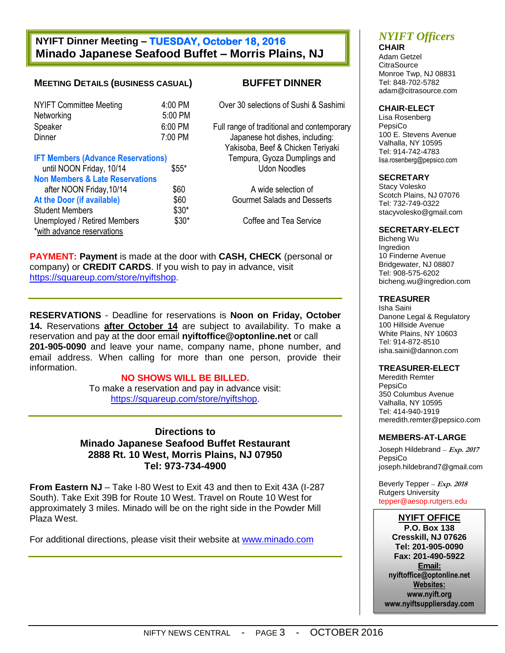## **NYIFT Dinner Meeting – TUESDAY, October 18, 2016 Minado Japanese Seafood Buffet – Morris Plains, NJ**

### **MEETING DETAILS (BUSINESS CASUAL) BUFFET DINNER**

| <b>NYIFT Committee Meeting</b> | $4:00$ PM |
|--------------------------------|-----------|
| Networking                     | 5:00 PM   |
| Speaker                        | 6:00 PM   |
| Dinner                         | 7:00 PM   |

| <b>IFT Members (Advance Reservations)</b>  |        |
|--------------------------------------------|--------|
| until NOON Friday, 10/14                   | $$55*$ |
| <b>Non Members &amp; Late Reservations</b> |        |
| after NOON Friday, 10/14                   | \$60   |
| At the Door (if available)                 | \$60   |
| <b>Student Members</b>                     | $$30*$ |
| Unemployed / Retired Members               | \$30*  |
| *with advance reservations                 |        |
|                                            |        |

Over 30 selections of Sushi & Sashimi

Full range of traditional and contemporary Japanese hot dishes, including: Yakisoba, Beef & Chicken Teriyaki **Tempura, Gyoza Dumplings and** \* Udon Noodles

A wide selection of **At the Door Courmet Salads and Desserts** 

 $0^*$  Coffee and Tea Service

**PAYMENT: Payment** is made at the door with **CASH, CHECK** (personal or company) or **CREDIT CARDS**. If you wish to pay in advance, visit [https://squareup.com/store/nyiftshop.](https://squareup.com/store/nyiftshop)

**RESERVATIONS** - Deadline for reservations is **Noon on Friday, October 14.** Reservations **after October 14** are subject to availability. To make a reservation and pay at the door email **nyiftoffice@optonline.net** or call **201-905-0090** and leave your name, company name, phone number, and email address. When calling for more than one person, provide their information.

#### **NO SHOWS WILL BE BILLED.**

To make a reservation and pay in advance visit: [https://squareup.com/store/nyiftshop.](https://squareup.com/store/nyiftshop)

**Directions to Minado Japanese Seafood Buffet Restaurant 2888 Rt. 10 West, Morris Plains, NJ 07950 Tel: 973-734-4900**

**From Eastern NJ** – Take I-80 West to Exit 43 and then to Exit 43A (I-287 South). Take Exit 39B for Route 10 West. Travel on Route 10 West for approximately 3 miles. Minado will be on the right side in the Powder Mill Plaza West.

For additional directions, please visit their website at [www.minado.com](http://www.minado.com/)

# *NYIFT Officers*

**CHAIR** Adam Getzel **CitraSource** Monroe Twp, NJ 08831 Tel: 848-702-5782 [adam@citrasource.com](mailto:adam@citrasource.com)

#### **CHAIR-ELECT**

Lisa Rosenberg PepsiCo 100 E. Stevens Avenue Valhalla, NY 10595 Tel: 914-742-4783 [lisa.rosenberg@pepsico.c](mailto:lisa.rosenberg@pepsico)om

#### **SECRETARY**

Stacy Volesko Scotch Plains, NJ 07076 Tel: 732-749-0322 stacyvolesko@gmail.com

#### **SECRETARY-ELECT**

Bicheng Wu Ingredion 10 Finderne Avenue Bridgewater, NJ 08807 Tel: 908-575-6202 bicheng.wu@ingredion.com

#### **TREASURER**

Isha Saini Danone Legal & Regulatory 100 Hillside Avenue White Plains, NY 10603 Tel: 914-872-8510 [isha.saini@dannon.](mailto:isha.saini@dannon)com

#### **TREASURER-ELECT**

Meredith Remter PepsiCo 350 Columbus Avenue Valhalla, NY 10595 Tel: 414-940-1919 [meredith.remter@pepsico.](mailto:meredith.remter@pepsico)com

#### **MEMBERS-AT-LARGE**

Joseph Hildebrand *–* **Exp. 2017** PepsiCo [joseph.hildebrand7@gmail.com](mailto:joseph.hildebrand7@gmail.com)

Beverly Tepper *–* **Exp. 2018** Rutgers University [tepper@aesop.rutgers.edu](mailto:tepper@aesop.rutgers.edu)

#### **NYIFT OFFICE**

**P.O. Box 138 Cresskill, NJ 07626 Tel: 201-905-0090 Fax: 201-490-5922 Email: nyiftoffice@optonline.net Websites: www.nyift.org www.nyiftsuppliersday.com**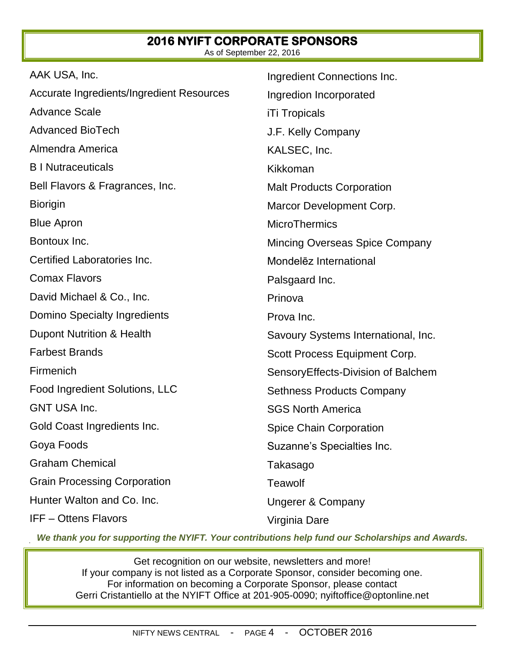#### **2016 NYIFT CORPORATE SPONSORS**  As of September 22, 2016

| AAK USA, Inc.                             | Ingredient Connections Inc.           |
|-------------------------------------------|---------------------------------------|
| Accurate Ingredients/Ingredient Resources | Ingredion Incorporated                |
| <b>Advance Scale</b>                      | <b>iTi Tropicals</b>                  |
| <b>Advanced BioTech</b>                   | J.F. Kelly Company                    |
| Almendra America                          | KALSEC, Inc.                          |
| <b>B</b> I Nutraceuticals                 | Kikkoman                              |
| Bell Flavors & Fragrances, Inc.           | <b>Malt Products Corporation</b>      |
| <b>Biorigin</b>                           | Marcor Development Corp.              |
| <b>Blue Apron</b>                         | <b>MicroThermics</b>                  |
| Bontoux Inc.                              | <b>Mincing Overseas Spice Company</b> |
| Certified Laboratories Inc.               | Mondelez International                |
| <b>Comax Flavors</b>                      | Palsgaard Inc.                        |
| David Michael & Co., Inc.                 | Prinova                               |
| Domino Specialty Ingredients              | Prova Inc.                            |
| Dupont Nutrition & Health                 | Savoury Systems International, Inc.   |
| <b>Farbest Brands</b>                     | Scott Process Equipment Corp.         |
| Firmenich                                 | SensoryEffects-Division of Balchem    |
| Food Ingredient Solutions, LLC            | <b>Sethness Products Company</b>      |
| <b>GNT USA Inc.</b>                       | <b>SGS North America</b>              |
| Gold Coast Ingredients Inc.               | <b>Spice Chain Corporation</b>        |
| Goya Foods                                | Suzanne's Specialties Inc.            |
| <b>Graham Chemical</b>                    | Takasago                              |
| <b>Grain Processing Corporation</b>       | <b>Teawolf</b>                        |
| Hunter Walton and Co. Inc.                | <b>Ungerer &amp; Company</b>          |
| <b>IFF-Ottens Flavors</b>                 | Virginia Dare                         |

*We thank you for supporting the NYIFT. Your contributions help fund our Scholarships and Awards.*

Get recognition on our website, newsletters and more! If your company is not listed as a Corporate Sponsor, consider becoming one. For information on becoming a Corporate Sponsor, please contact Gerri Cristantiello at the NYIFT Office at 201-905-0090; [nyiftoffice@optonline.net](mailto:nyiftoffice@optonline.net)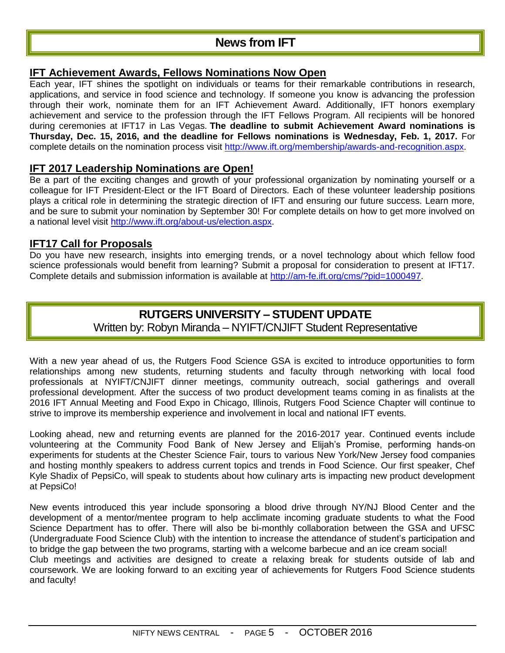# **News from IFT**

## **IFT [Achievement](http://www.ift.org/membership/awards-and-recognition.aspx) Awards, Fellows Nominations Now Open**

Each year, IFT shines the spotlight on individuals or teams for their remarkable contributions in research, applications, and service in food science and technology. If someone you know is advancing the profession through their work, nominate them for an IFT Achievement Award. Additionally, IFT honors exemplary achievement and service to the profession through the IFT Fellows Program. All recipients will be honored during ceremonies at IFT17 in Las Vegas. **The deadline to submit Achievement Award nominations is Thursday, Dec. 15, 2016, and the deadline for Fellows nominations is Wednesday, Feb. 1, 2017.** For complete details on the nomination process visit [http://www.ift.org/membership/awards-and-recognition.aspx.](http://www.ift.org/membership/awards-and-recognition.aspx)

## **IFT 2017 Leadership [Nominations](http://www.ift.org/about-us/election.aspx) are Open!**

Be a part of the exciting changes and growth of your professional organization by nominating yourself or a colleague for IFT President-Elect or the IFT Board of Directors. Each of these volunteer leadership positions plays a critical role in determining the strategic direction of IFT and ensuring our future success. Learn more, and be sure to submit your nomination by September 30! For complete details on how to get more involved on a national level visit [http://www.ift.org/about-us/election.aspx.](http://www.ift.org/about-us/election.aspx)

## **IFT17 Call for [Proposals](http://am-fe.ift.org/cms/?pid=1000497)**

Do you have new research, insights into emerging trends, or a novel technology about which fellow food science professionals would benefit from learning? Submit a proposal for consideration to present at IFT17. Complete details and submission information is available at [http://am-fe.ift.org/cms/?pid=1000497.](http://am-fe.ift.org/cms/?pid=1000497)

# **RUTGERS UNIVERSITY – STUDENT UPDATE** Written by: Robyn Miranda – NYIFT/CNJIFT Student Representative

With a new year ahead of us, the Rutgers Food Science GSA is excited to introduce opportunities to form relationships among new students, returning students and faculty through networking with local food professionals at NYIFT/CNJIFT dinner meetings, community outreach, social gatherings and overall professional development. After the success of two product development teams coming in as finalists at the 2016 IFT Annual Meeting and Food Expo in Chicago, Illinois, Rutgers Food Science Chapter will continue to strive to improve its membership experience and involvement in local and national IFT events.

Looking ahead, new and returning events are planned for the 2016-2017 year. Continued events include volunteering at the Community Food Bank of New Jersey and Elijah's Promise, performing hands-on experiments for students at the Chester Science Fair, tours to various New York/New Jersey food companies and hosting monthly speakers to address current topics and trends in Food Science. Our first speaker, Chef Kyle Shadix of PepsiCo, will speak to students about how culinary arts is impacting new product development at PepsiCo!

New events introduced this year include sponsoring a blood drive through NY/NJ Blood Center and the development of a mentor/mentee program to help acclimate incoming graduate students to what the Food Science Department has to offer. There will also be bi-monthly collaboration between the GSA and UFSC (Undergraduate Food Science Club) with the intention to increase the attendance of student's participation and to bridge the gap between the two programs, starting with a welcome barbecue and an ice cream social!

Club meetings and activities are designed to create a relaxing break for students outside of lab and coursework. We are looking forward to an exciting year of achievements for Rutgers Food Science students and faculty!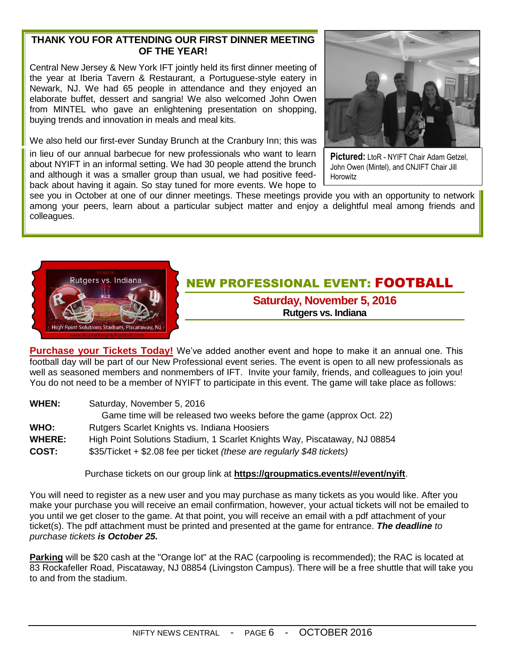## **THANK YOU FOR ATTENDING OUR FIRST DINNER MEETING OF THE YEAR!**

Central New Jersey & New York IFT jointly held its first dinner meeting of the year at Iberia Tavern & Restaurant, a Portuguese-style eatery in Newark, NJ. We had 65 people in attendance and they enjoyed an elaborate buffet, dessert and sangria! We also welcomed John Owen from MINTEL who gave an enlightening presentation on shopping, buying trends and innovation in meals and meal kits.

We also held our first-ever Sunday Brunch at the Cranbury Inn; this was

in lieu of our annual barbecue for new professionals who want to learn about NYIFT in an informal setting. We had 30 people attend the brunch and although it was a smaller group than usual, we had positive feedback about having it again. So stay tuned for more events. We hope to



**Pictured:** LtoR - NYIFT Chair Adam Getzel, John Owen (Mintel), and CNJIFT Chair Jill **Horowitz** 

see you in October at one of our dinner meetings. These meetings provide you with an opportunity to network among your peers, learn about a particular subject matter and enjoy a delightful meal among friends and colleagues.



# NEW PROFESSIONAL EVENT: FOOTBALL

**Saturday, November 5, 2016 Rutgers vs. Indiana**

**Purchase your Tickets Today!** We've added another event and hope to make it an annual one. This football day will be part of our New Professional event series. The event is open to all new professionals as well as seasoned members and nonmembers of IFT. Invite your family, friends, and colleagues to join you! You do not need to be a member of NYIFT to participate in this event. The game will take place as follows:

**WHEN:** Saturday, November 5, 2016 Game time will be released two weeks before the game (approx Oct. 22) **WHO:** Rutgers Scarlet Knights vs. Indiana Hoosiers **WHERE:** High Point Solutions Stadium, 1 Scarlet Knights Way, Piscataway, NJ 08854 **COST:** \$35/Ticket + \$2.08 fee per ticket *(these are regularly \$48 tickets)*

Purchase tickets on our group link at **<https://groupmatics.events/#/event/nyift>**.

You will need to register as a new user and you may purchase as many tickets as you would like. After you make your purchase you will receive an email confirmation, however, your actual tickets will not be emailed to you until we get closer to the game. At that point, you will receive an email with a pdf attachment of your ticket(s). The pdf attachment must be printed and presented at the game for entrance. *The deadline to purchase tickets is October 25.*

**Parking** will be \$20 cash at the "Orange lot" at the RAC (carpooling is recommended); the RAC is located at 83 Rockafeller Road, Piscataway, NJ 08854 (Livingston Campus). There will be a free shuttle that will take you to and from the stadium.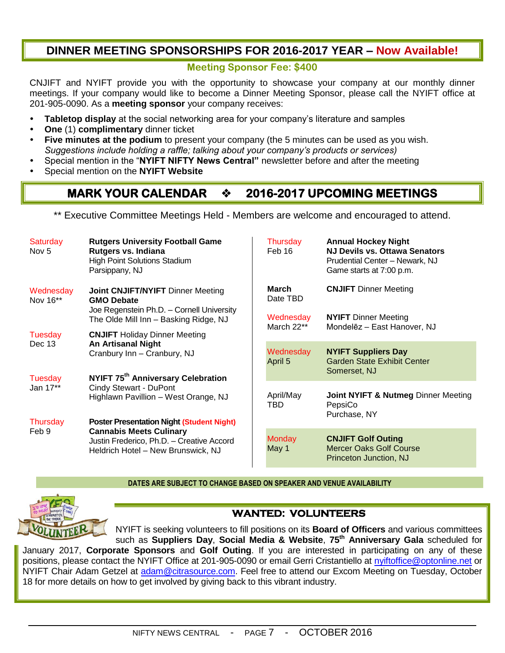# **DINNER MEETING SPONSORSHIPS FOR 2016-2017 YEAR – Now Available!**

#### **Meeting Sponsor Fee: \$400**

CNJIFT and NYIFT provide you with the opportunity to showcase your company at our monthly dinner meetings. If your company would like to become a Dinner Meeting Sponsor, please call the NYIFT office at 201-905-0090. As a **meeting sponsor** your company receives:

- **Tabletop display** at the social networking area for your company's literature and samples
- **One** (1) **complimentary** dinner ticket
- **Five minutes at the podium** to present your company (the 5 minutes can be used as you wish. *Suggestions include holding a raffle; talking about your company's products or services)*
- Special mention in the "**NYIFT NIFTY News Central"** newsletter before and after the meeting
- Special mention on the **NYIFT Website**

# **MARK YOUR CALENDAR**  $\div$  **2016-2017 UPCOMING MEETINGS**

\*\* Executive Committee Meetings Held - Members are welcome and encouraged to attend.

| Saturday<br>Nov 5                                                                                                                                                                                                                                                | <b>Rutgers University Football Game</b><br>Rutgers vs. Indiana<br><b>High Point Solutions Stadium</b><br>Parsippany, NJ | Thursday<br>Feb 16                                 | <b>Annual Hockey Night</b><br><b>NJ Devils vs. Ottawa Senators</b><br>Prudential Center - Newark, NJ<br>Game starts at 7:00 p.m. |
|------------------------------------------------------------------------------------------------------------------------------------------------------------------------------------------------------------------------------------------------------------------|-------------------------------------------------------------------------------------------------------------------------|----------------------------------------------------|----------------------------------------------------------------------------------------------------------------------------------|
| Wednesday<br>Nov 16**                                                                                                                                                                                                                                            | <b>Joint CNJIFT/NYIFT Dinner Meeting</b><br><b>GMO Debate</b><br>Joe Regenstein Ph.D. - Cornell University              | March<br>Date TBD                                  | <b>CNJIFT</b> Dinner Meeting                                                                                                     |
|                                                                                                                                                                                                                                                                  | The Olde Mill Inn - Basking Ridge, NJ                                                                                   | Wednesday<br>March 22**                            | <b>NYIFT</b> Dinner Meeting<br>Mondelez - East Hanover, NJ                                                                       |
| Tuesday<br><b>CNJIFT</b> Holiday Dinner Meeting<br>Dec 13<br><b>An Artisanal Night</b><br>Cranbury Inn - Cranbury, NJ<br>NYIFT 75 <sup>th</sup> Anniversary Celebration<br>Tuesday<br>Cindy Stewart - DuPont<br>Jan 17**<br>Highlawn Pavillion - West Orange, NJ |                                                                                                                         | Wednesday                                          | <b>NYIFT Suppliers Day</b>                                                                                                       |
|                                                                                                                                                                                                                                                                  | April 5                                                                                                                 | <b>Garden State Exhibit Center</b><br>Somerset, NJ |                                                                                                                                  |
|                                                                                                                                                                                                                                                                  |                                                                                                                         | April/May<br>TBD                                   | Joint NYIFT & Nutmeg Dinner Meeting<br>PepsiCo                                                                                   |
| Thursday<br>Feb 9                                                                                                                                                                                                                                                | <b>Poster Presentation Night (Student Night)</b><br><b>Cannabis Meets Culinary</b>                                      |                                                    | Purchase, NY                                                                                                                     |
|                                                                                                                                                                                                                                                                  | Justin Frederico, Ph.D. - Creative Accord<br>Heldrich Hotel - New Brunswick, NJ                                         | <b>Monday</b><br>May 1                             | <b>CNJIFT Golf Outing</b><br><b>Mercer Oaks Golf Course</b><br>Princeton Junction, NJ                                            |

#### **DATES ARE SUBJECT TO CHANGE BASED ON SPEAKER AND VENUE AVAILABILITY**

 $\mathbf{I}$ 



## **WANTED: VOLUNTEERS**

NYIFT is seeking volunteers to fill positions on its **Board of Officers** and various committees such as **Suppliers Day**, **Social Media & Website**, **75th Anniversary Gala** scheduled for January 2017, **Corporate Sponsors** and **Golf Outing**. If you are interested in participating on any of these positions, please contact the NYIFT Office at 201-905-0090 or email Gerri Cristantiello at [nyiftoffice@optonline.net](mailto:nyiftoffice@optonline.net) or NYIFT Chair Adam Getzel at [adam@citrasource.com.](mailto:adam@citrasource.com) Feel free to attend our Excom Meeting on Tuesday, October 18 for more details on how to get involved by giving back to this vibrant industry.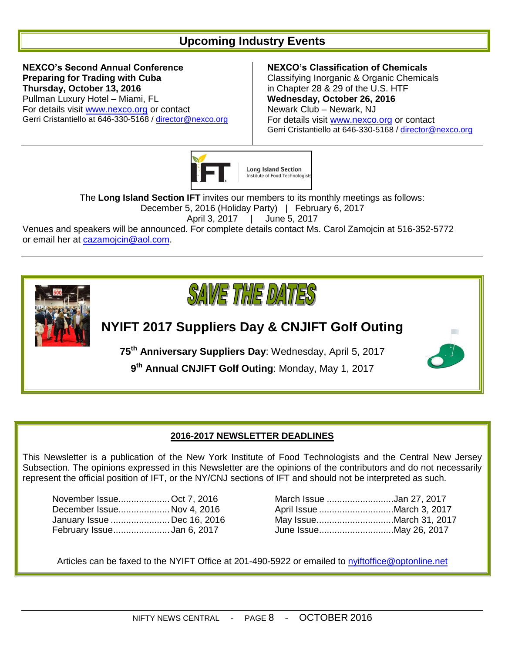# **Upcoming Industry Events**

**NEXCO's Second Annual Conference Preparing for Trading with Cuba Thursday, October 13, 2016** Pullman Luxury Hotel – Miami, FL For details visit [www.nexco.org](http://www.nexco.org/) or contact Gerri Cristantiello at 646-330-5168 / [director@nexco.org](mailto:director@nexco.org)

#### **NEXCO's Classification of Chemicals**

Classifying Inorganic & Organic Chemicals in Chapter 28 & 29 of the U.S. HTF **Wednesday, October 26, 2016** Newark Club – Newark, NJ For details visit [www.nexco.org](http://www.nexco.org/) or contact Gerri Cristantiello at 646-330-5168 / [director@nexco.org](mailto:director@nexco.org)



The **Long Island Section IFT** invites our members to its monthly meetings as follows:

December 5, 2016 (Holiday Party) | February 6, 2017

April 3, 2017 | June 5, 2017

Venues and speakers will be announced. For complete details contact Ms. Carol Zamojcin at 516-352-5772 or email her at **cazamojcin@aol.com**.



# **NYIFT 2017 Suppliers Day & CNJIFT Golf Outing**

**75th Anniversary Suppliers Day**: Wednesday, April 5, 2017

**9 th Annual CNJIFT Golf Outing**: Monday, May 1, 2017



## **2016-2017 NEWSLETTER DEADLINES**

This Newsletter is a publication of the New York Institute of Food Technologists and the Central New Jersey Subsection. The opinions expressed in this Newsletter are the opinions of the contributors and do not necessarily represent the official position of IFT, or the NY/CNJ sections of IFT and should not be interpreted as such.

| November Issue Oct 7, 2016  |  | March Issue Jan 27, 2017  |
|-----------------------------|--|---------------------------|
| December Issue Nov 4, 2016  |  | April Issue March 3, 2017 |
| January Issue  Dec 16, 2016 |  | May IssueMarch 31, 20     |
| February IssueJan 6, 2017   |  |                           |

| November IssueOct 7, 2016  |  | March Issue Jan 27, 2017  |
|----------------------------|--|---------------------------|
| December Issue Nov 4, 2016 |  | April Issue March 3, 2017 |
| January Issue Dec 16, 2016 |  | May IssueMarch 31, 2017   |
| February IssueJan 6, 2017  |  |                           |

Articles can be faxed to the NYIFT Office at 201-490-5922 or emailed to [nyiftoffice@optonline.net](mailto:nyiftoffice@optonline.net)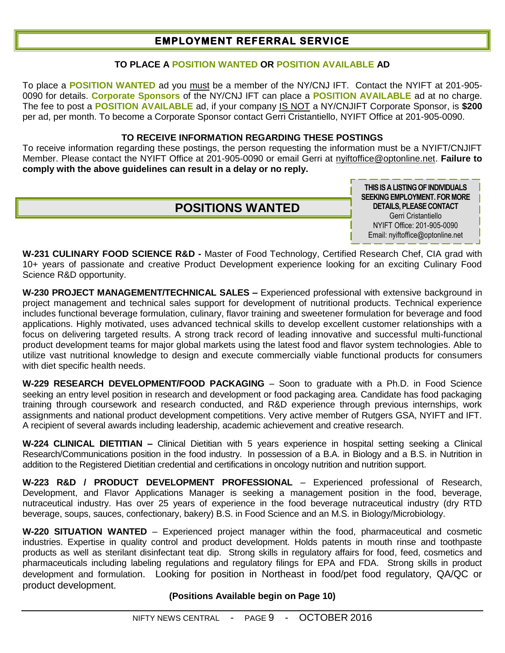# **EMPLOYMENT REFERRAL SERVICE**

### **TO PLACE A POSITION WANTED OR POSITION AVAILABLE AD**

To place a **POSITION WANTED** ad you must be a member of the NY/CNJ IFT. Contact the NYIFT at 201-905- 0090 for details. **Corporate Sponsors** of the NY/CNJ IFT can place a **POSITION AVAILABLE** ad at no charge. The fee to post a **POSITION AVAILABLE** ad, if your company IS NOT a NY/CNJIFT Corporate Sponsor, is **\$200** per ad, per month. To become a Corporate Sponsor contact Gerri Cristantiello, NYIFT Office at 201-905-0090.

#### **TO RECEIVE INFORMATION REGARDING THESE POSTINGS**

To receive information regarding these postings, the person requesting the information must be a NYIFT/CNJIFT Member. Please contact the NYIFT Office at 201-905-0090 or email Gerri at [nyiftoffice@optonline.net.](mailto:nyiftoffice@optonline.net) **Failure to comply with the above guidelines can result in a delay or no reply.**

# **POSITIONS WANTED**

**THIS IS A LISTING OF INDIVIDUALS SEEKING EMPLOYMENT. FOR MORE DETAILS, PLEASE CONTACT** Gerri Cristantiello NYIFT Office: 201-905-0090 Email: nyiftoffice@optonline.net

**W-231 CULINARY FOOD SCIENCE R&D -** Master of Food Technology, Certified Research Chef, CIA grad with 10+ years of passionate and creative Product Development experience looking for an exciting Culinary Food Science R&D opportunity.

**W-230 PROJECT MANAGEMENT/TECHNICAL SALES –** Experienced professional with extensive background in project management and technical sales support for development of nutritional products. Technical experience includes functional beverage formulation, culinary, flavor training and sweetener formulation for beverage and food applications. Highly motivated, uses advanced technical skills to develop excellent customer relationships with a focus on delivering targeted results. A strong track record of leading innovative and successful multi-functional product development teams for major global markets using the latest food and flavor system technologies. Able to utilize vast nutritional knowledge to design and execute commercially viable functional products for consumers with diet specific health needs.

**W-229 RESEARCH DEVELOPMENT/FOOD PACKAGING** – Soon to graduate with a Ph.D. in Food Science seeking an entry level position in research and development or food packaging area. Candidate has food packaging training through coursework and research conducted, and R&D experience through previous internships, work assignments and national product development competitions. Very active member of Rutgers GSA, NYIFT and IFT. A recipient of several awards including leadership, academic achievement and creative research.

**W-224 CLINICAL DIETITIAN –** Clinical Dietitian with 5 years experience in hospital setting seeking a Clinical Research/Communications position in the food industry. In possession of a B.A. in Biology and a B.S. in Nutrition in addition to the Registered Dietitian credential and certifications in oncology nutrition and nutrition support.

**W-223 R&D / PRODUCT DEVELOPMENT PROFESSIONAL** – Experienced professional of Research, Development, and Flavor Applications Manager is seeking a management position in the food, beverage, nutraceutical industry. Has over 25 years of experience in the food beverage nutraceutical industry (dry RTD beverage, soups, sauces, confectionary, bakery) B.S. in Food Science and an M.S. in Biology/Microbiology.

**W-220 SITUATION WANTED** – Experienced project manager within the food, pharmaceutical and cosmetic industries. Expertise in quality control and product development. Holds patents in mouth rinse and toothpaste products as well as sterilant disinfectant teat dip. Strong skills in regulatory affairs for food, feed, cosmetics and pharmaceuticals including labeling regulations and regulatory filings for EPA and FDA. Strong skills in product development and formulation. Looking for position in Northeast in food/pet food regulatory, QA/QC or product development.

**(Positions Available begin on Page 10)**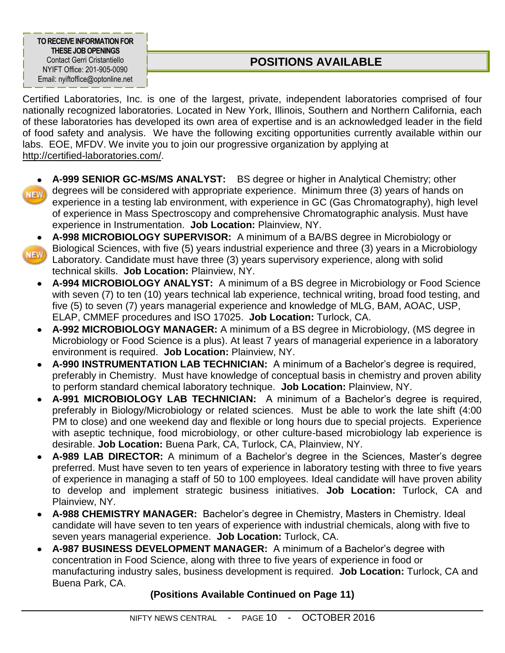**TO RECEIVE INFORMATION FOR THESE JOBOPENINGS** Contact Gerri Cristantiello NYIFT Office: 201-905-0090 Email: nyiftoffice@optonline.net

# **POSITIONS AVAILABLE**

Certified Laboratories, Inc. is one of the largest, private, independent laboratories comprised of four nationally recognized laboratories. Located in New York, Illinois, Southern and Northern California, each of these laboratories has developed its own area of expertise and is an acknowledged leader in the field of food safety and analysis. We have the following exciting opportunities currently available within our labs. EOE, MFDV. We invite you to join our progressive organization by applying at [http://certified-laboratories.com/.](http://certified-laboratories.com/)

- 
- **A-999 SENIOR GC-MS/MS ANALYST:** BS degree or higher in Analytical Chemistry; other degrees will be considered with appropriate experience. Minimum three (3) years of hands on experience in a testing lab environment, with experience in GC (Gas Chromatography), high level of experience in Mass Spectroscopy and comprehensive Chromatographic analysis. Must have experience in Instrumentation. **Job Location:** Plainview, NY.
- **NEW**
- **A-998 MICROBIOLOGY SUPERVISOR:** A minimum of a BA/BS degree in Microbiology or Biological Sciences, with five (5) years industrial experience and three (3) years in a Microbiology Laboratory. Candidate must have three (3) years supervisory experience, along with solid technical skills. **Job Location:** Plainview, NY.
	- **A-994 MICROBIOLOGY ANALYST:** A minimum of a BS degree in Microbiology or Food Science with seven (7) to ten (10) years technical lab experience, technical writing, broad food testing, and five (5) to seven (7) years managerial experience and knowledge of MLG, BAM, AOAC, USP, ELAP, CMMEF procedures and ISO 17025. **Job Location:** Turlock, CA.
	- **A-992 MICROBIOLOGY MANAGER:** A minimum of a BS degree in Microbiology, (MS degree in  $\bullet$ Microbiology or Food Science is a plus). At least 7 years of managerial experience in a laboratory environment is required. **Job Location:** Plainview, NY.
	- **A-990 INSTRUMENTATION LAB TECHNICIAN:** A minimum of a Bachelor's degree is required,  $\bullet$ preferably in Chemistry. Must have knowledge of conceptual basis in chemistry and proven ability to perform standard chemical laboratory technique. **Job Location:** Plainview, NY.
	- **A-991 MICROBIOLOGY LAB TECHNICIAN:** A minimum of a Bachelor's degree is required, preferably in Biology/Microbiology or related sciences. Must be able to work the late shift (4:00 PM to close) and one weekend day and flexible or long hours due to special projects. Experience with aseptic technique, food microbiology, or other culture-based microbiology lab experience is desirable. **Job Location:** Buena Park, CA, Turlock, CA, Plainview, NY.
	- **A-989 LAB DIRECTOR:** A minimum of a Bachelor's degree in the Sciences, Master's degree  $\bullet$ preferred. Must have seven to ten years of experience in laboratory testing with three to five years of experience in managing a staff of 50 to 100 employees. Ideal candidate will have proven ability to develop and implement strategic business initiatives. **Job Location:** Turlock, CA and Plainview, NY.
	- **A-988 CHEMISTRY MANAGER:** Bachelor's degree in Chemistry, Masters in Chemistry. Ideal candidate will have seven to ten years of experience with industrial chemicals, along with five to seven years managerial experience. **Job Location:** Turlock, CA.
	- **A-987 BUSINESS DEVELOPMENT MANAGER:** A minimum of a Bachelor's degree with concentration in Food Science, along with three to five years of experience in food or manufacturing industry sales, business development is required. **Job Location:** Turlock, CA and Buena Park, CA.

# **(Positions Available Continued on Page 11)**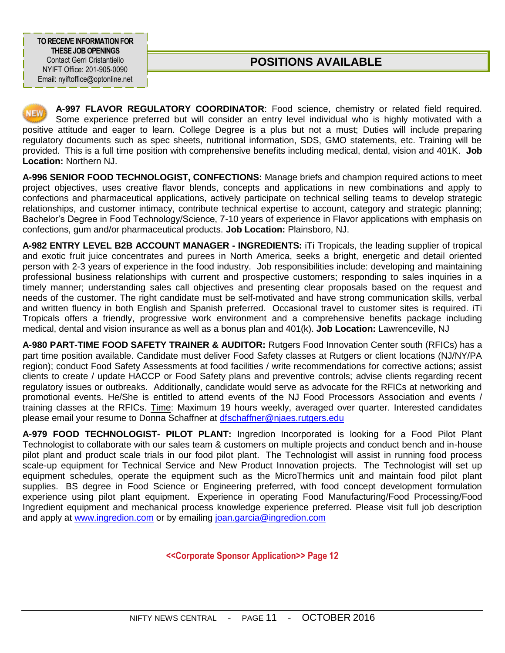**TO RECEIVE INFORMATION FOR THESE JOBOPENINGS** Contact Gerri Cristantiello NYIFT Office: 201-905-0090 Email: nyiftoffice@optonline.net

# **POSITIONS AVAILABLE**

**A-997 FLAVOR REGULATORY COORDINATOR**: Food science, chemistry or related field required. Some experience preferred but will consider an entry level individual who is highly motivated with a positive attitude and eager to learn. College Degree is a plus but not a must; Duties will include preparing regulatory documents such as spec sheets, nutritional information, SDS, GMO statements, etc. Training will be provided. This is a full time position with comprehensive benefits including medical, dental, vision and 401K. **Job Location:** Northern NJ.

**A-996 SENIOR FOOD TECHNOLOGIST, CONFECTIONS:** Manage briefs and champion required actions to meet project objectives, uses creative flavor blends, concepts and applications in new combinations and apply to confections and pharmaceutical applications, actively participate on technical selling teams to develop strategic relationships, and customer intimacy, contribute technical expertise to account, category and strategic planning; Bachelor's Degree in Food Technology/Science, 7-10 years of experience in Flavor applications with emphasis on confections, gum and/or pharmaceutical products. **Job Location:** Plainsboro, NJ.

**A-982 ENTRY LEVEL B2B ACCOUNT MANAGER - INGREDIENTS:** iTi Tropicals, the leading supplier of tropical and exotic fruit juice concentrates and purees in North America, seeks a bright, energetic and detail oriented person with 2-3 years of experience in the food industry. Job responsibilities include: developing and maintaining professional business relationships with current and prospective customers; responding to sales inquiries in a timely manner; understanding sales call objectives and presenting clear proposals based on the request and needs of the customer. The right candidate must be self-motivated and have strong communication skills, verbal and written fluency in both English and Spanish preferred. Occasional travel to customer sites is required. iTi Tropicals offers a friendly, progressive work environment and a comprehensive benefits package including medical, dental and vision insurance as well as a bonus plan and 401(k). **Job Location:** Lawrenceville, NJ

**A-980 PART-TIME FOOD SAFETY TRAINER & AUDITOR:** Rutgers Food Innovation Center south (RFICs) has a part time position available. Candidate must deliver Food Safety classes at Rutgers or client locations (NJ/NY/PA region); conduct Food Safety Assessments at food facilities / write recommendations for corrective actions; assist clients to create / update HACCP or Food Safety plans and preventive controls; advise clients regarding recent regulatory issues or outbreaks. Additionally, candidate would serve as advocate for the RFICs at networking and promotional events. He/She is entitled to attend events of the NJ Food Processors Association and events / training classes at the RFICs. Time: Maximum 19 hours weekly, averaged over quarter. Interested candidates please email your resume to Donna Schaffner at [dfschaffner@njaes.rutgers.edu](mailto:dfschaffner@njaes.rutgers.edu)

**A-979 FOOD TECHNOLOGIST- PILOT PLANT:** Ingredion Incorporated is looking for a Food Pilot Plant Technologist to collaborate with our sales team & customers on multiple projects and conduct bench and in-house pilot plant and product scale trials in our food pilot plant. The Technologist will assist in running food process scale-up equipment for Technical Service and New Product Innovation projects. The Technologist will set up equipment schedules, operate the equipment such as the MicroThermics unit and maintain food pilot plant supplies. BS degree in Food Science or Engineering preferred, with food concept development formulation experience using pilot plant equipment. Experience in operating Food Manufacturing/Food Processing/Food Ingredient equipment and mechanical process knowledge experience preferred. Please visit full job description and apply at [www.ingredion.com](file:///C:/Documents%20and%20Settings/Gerri%20Cristantiello/My%20Documents/Shared-Accounts/NYIFT/Newsletters/Newsletters%202014-2015/www.ingredion.com) or by emailing [joan.garcia@ingredion.com](mailto:joan.garcia@ingredion.com)

**<<Corporate Sponsor Application>> Page 12**